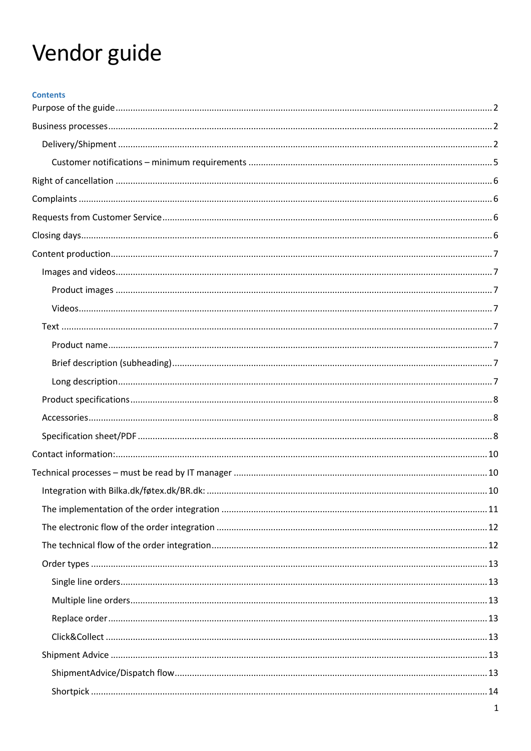# Vendor guide

| <b>Contents</b> |  |
|-----------------|--|
|                 |  |
|                 |  |
|                 |  |
|                 |  |
|                 |  |
|                 |  |
|                 |  |
|                 |  |
|                 |  |
|                 |  |
|                 |  |
|                 |  |
|                 |  |
|                 |  |
|                 |  |
|                 |  |
|                 |  |
|                 |  |
|                 |  |
|                 |  |
|                 |  |
|                 |  |
|                 |  |
|                 |  |
|                 |  |
|                 |  |
|                 |  |
|                 |  |
|                 |  |
|                 |  |
|                 |  |
|                 |  |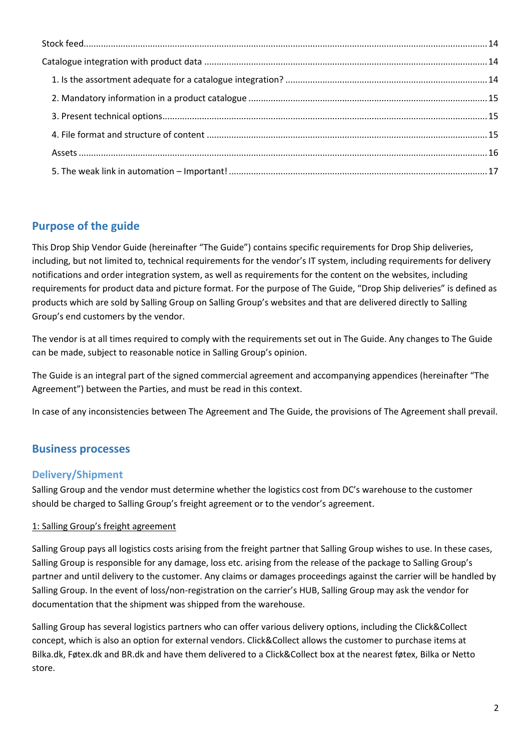# <span id="page-1-0"></span>**Purpose of the guide**

This Drop Ship Vendor Guide (hereinafter "The Guide") contains specific requirements for Drop Ship deliveries, including, but not limited to, technical requirements for the vendor's IT system, including requirements for delivery notifications and order integration system, as well as requirements for the content on the websites, including requirements for product data and picture format. For the purpose of The Guide, "Drop Ship deliveries" is defined as products which are sold by Salling Group on Salling Group's websites and that are delivered directly to Salling Group's end customers by the vendor.

The vendor is at all times required to comply with the requirements set out in The Guide. Any changes to The Guide can be made, subject to reasonable notice in Salling Group's opinion.

The Guide is an integral part of the signed commercial agreement and accompanying appendices (hereinafter "The Agreement") between the Parties, and must be read in this context.

In case of any inconsistencies between The Agreement and The Guide, the provisions of The Agreement shall prevail.

# <span id="page-1-1"></span>**Business processes**

# <span id="page-1-2"></span>**Delivery/Shipment**

Salling Group and the vendor must determine whether the logistics cost from DC's warehouse to the customer should be charged to Salling Group's freight agreement or to the vendor's agreement.

# 1: Salling Group's freight agreement

Salling Group pays all logistics costs arising from the freight partner that Salling Group wishes to use. In these cases, Salling Group is responsible for any damage, loss etc. arising from the release of the package to Salling Group's partner and until delivery to the customer. Any claims or damages proceedings against the carrier will be handled by Salling Group. In the event of loss/non-registration on the carrier's HUB, Salling Group may ask the vendor for documentation that the shipment was shipped from the warehouse.

Salling Group has several logistics partners who can offer various delivery options, including the Click&Collect concept, which is also an option for external vendors. Click&Collect allows the customer to purchase items at Bilka.dk, Føtex.dk and BR.dk and have them delivered to a Click&Collect box at the nearest føtex, Bilka or Netto store.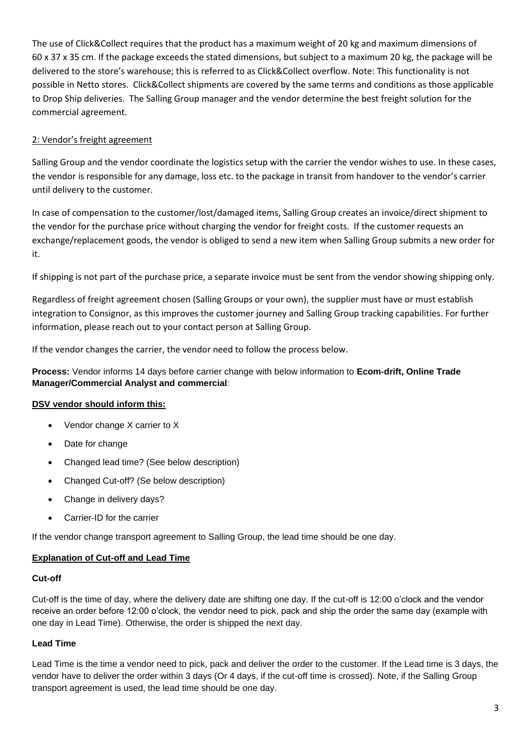The use of Click&Collect requires that the product has a maximum weight of 20 kg and maximum dimensions of 60 x 37 x 35 cm. If the package exceeds the stated dimensions, but subject to a maximum 20 kg, the package will be delivered to the store's warehouse; this is referred to as Click&Collect overflow. Note: This functionality is not possible in Netto stores. Click&Collect shipments are covered by the same terms and conditions as those applicable to Drop Ship deliveries. The Salling Group manager and the vendor determine the best freight solution for the commercial agreement.

# 2: Vendor's freight agreement

Salling Group and the vendor coordinate the logistics setup with the carrier the vendor wishes to use. In these cases, the vendor is responsible for any damage, loss etc. to the package in transit from handover to the vendor's carrier until delivery to the customer.

In case of compensation to the customer/lost/damaged items, Salling Group creates an invoice/direct shipment to the vendor for the purchase price without charging the vendor for freight costs. If the customer requests an exchange/replacement goods, the vendor is obliged to send a new item when Salling Group submits a new order for it.

If shipping is not part of the purchase price, a separate invoice must be sent from the vendor showing shipping only.

Regardless of freight agreement chosen (Salling Groups or your own), the supplier must have or must establish integration to Consignor, as this improves the customer journey and Salling Group tracking capabilities. For further information, please reach out to your contact person at Salling Group.

If the vendor changes the carrier, the vendor need to follow the process below.

**Process:** Vendor informs 14 days before carrier change with below information to **Ecom-drift, Online Trade Manager/Commercial Analyst and commercial**:

# **DSV vendor should inform this:**

- Vendor change X carrier to X
- Date for change
- Changed lead time? (See below description)
- Changed Cut-off? (Se below description)
- Change in delivery days?
- Carrier-ID for the carrier

If the vendor change transport agreement to Salling Group, the lead time should be one day.

#### **Explanation of Cut-off and Lead Time**

#### **Cut-off**

Cut-off is the time of day, where the delivery date are shifting one day. If the cut-off is 12:00 o'clock and the vendor receive an order before 12:00 o'clock, the vendor need to pick, pack and ship the order the same day (example with one day in Lead Time). Otherwise, the order is shipped the next day.

#### **Lead Time**

Lead Time is the time a vendor need to pick, pack and deliver the order to the customer. If the Lead time is 3 days, the vendor have to deliver the order within 3 days (Or 4 days, if the cut-off time is crossed). Note, if the Salling Group transport agreement is used, the lead time should be one day.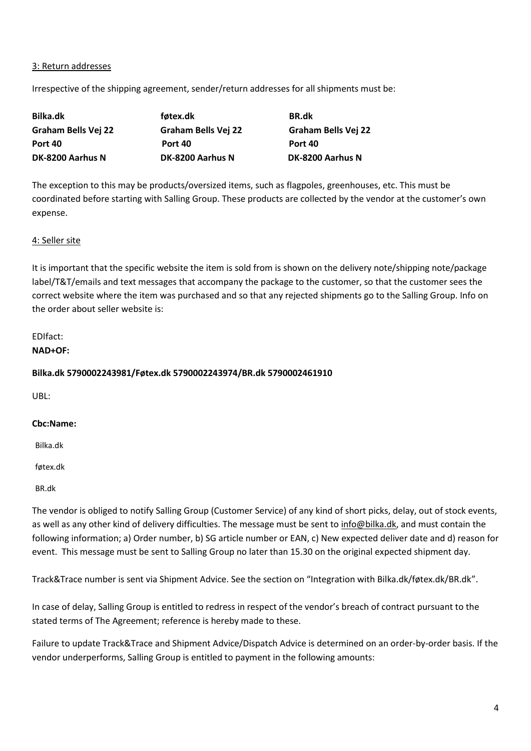#### 3: Return addresses

Irrespective of the shipping agreement, sender/return addresses for all shipments must be:

| Bilka.dk            | føtex.dk            | <b>BR.dk</b>               |
|---------------------|---------------------|----------------------------|
| Graham Bells Vej 22 | Graham Bells Vej 22 | <b>Graham Bells Vej 22</b> |
| Port 40             | Port 40             | Port 40                    |
| DK-8200 Aarhus N    | DK-8200 Aarhus N    | DK-8200 Aarhus N           |

The exception to this may be products/oversized items, such as flagpoles, greenhouses, etc. This must be coordinated before starting with Salling Group. These products are collected by the vendor at the customer's own expense.

#### 4: Seller site

It is important that the specific website the item is sold from is shown on the delivery note/shipping note/package label/T&T/emails and text messages that accompany the package to the customer, so that the customer sees the correct website where the item was purchased and so that any rejected shipments go to the Salling Group. Info on the order about seller website is:

#### EDIfact:

**NAD+OF:** 

#### **Bilka.dk 5790002243981/Føtex.dk 5790002243974/BR.dk 5790002461910**

UBL:

#### **Cbc:Name:**

Bilka.dk

føtex.dk

BR.dk

The vendor is obliged to notify Salling Group (Customer Service) of any kind of short picks, delay, out of stock events, as well as any other kind of delivery difficulties. The message must be sent to [info@bilka.dk,](mailto:info@bilka.dk) and must contain the following information; a) Order number, b) SG article number or EAN, c) New expected deliver date and d) reason for event. This message must be sent to Salling Group no later than 15.30 on the original expected shipment day.

Track&Trace number is sent via Shipment Advice. See the section on "Integration with Bilka.dk/føtex.dk/BR.dk".

In case of delay, Salling Group is entitled to redress in respect of the vendor's breach of contract pursuant to the stated terms of The Agreement; reference is hereby made to these.

Failure to update Track&Trace and Shipment Advice/Dispatch Advice is determined on an order-by-order basis. If the vendor underperforms, Salling Group is entitled to payment in the following amounts: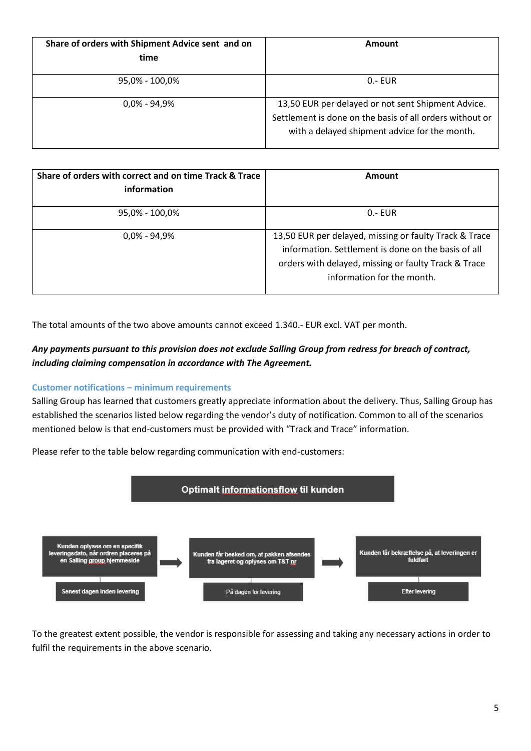| Share of orders with Shipment Advice sent and on<br>time | Amount                                                                                                                                                          |
|----------------------------------------------------------|-----------------------------------------------------------------------------------------------------------------------------------------------------------------|
| 95,0% - 100,0%                                           | $0 - EUR$                                                                                                                                                       |
| $0.0\% - 94.9\%$                                         | 13,50 EUR per delayed or not sent Shipment Advice.<br>Settlement is done on the basis of all orders without or<br>with a delayed shipment advice for the month. |

| Share of orders with correct and on time Track & Trace<br>information | Amount                                                                                                                                                                                              |
|-----------------------------------------------------------------------|-----------------------------------------------------------------------------------------------------------------------------------------------------------------------------------------------------|
| 95,0% - 100,0%                                                        | $0 - EUR$                                                                                                                                                                                           |
| $0,0\%$ - 94,9%                                                       | 13,50 EUR per delayed, missing or faulty Track & Trace<br>information. Settlement is done on the basis of all<br>orders with delayed, missing or faulty Track & Trace<br>information for the month. |

The total amounts of the two above amounts cannot exceed 1.340.- EUR excl. VAT per month.

# *Any payments pursuant to this provision does not exclude Salling Group from redress for breach of contract, including claiming compensation in accordance with The Agreement.*

#### <span id="page-4-0"></span>**Customer notifications – minimum requirements**

Salling Group has learned that customers greatly appreciate information about the delivery. Thus, Salling Group has established the scenarios listed below regarding the vendor's duty of notification. Common to all of the scenarios mentioned below is that end-customers must be provided with "Track and Trace" information.



Please refer to the table below regarding communication with end-customers:

To the greatest extent possible, the vendor is responsible for assessing and taking any necessary actions in order to fulfil the requirements in the above scenario.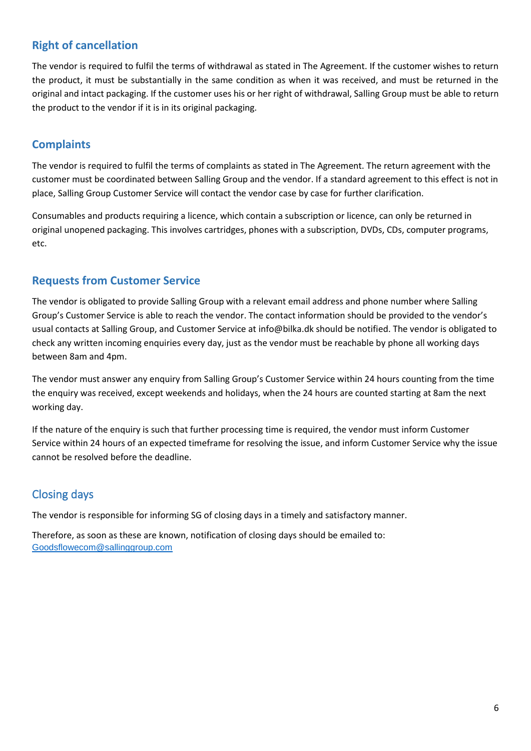# <span id="page-5-0"></span>**Right of cancellation**

The vendor is required to fulfil the terms of withdrawal as stated in The Agreement. If the customer wishes to return the product, it must be substantially in the same condition as when it was received, and must be returned in the original and intact packaging. If the customer uses his or her right of withdrawal, Salling Group must be able to return the product to the vendor if it is in its original packaging.

# <span id="page-5-1"></span>**Complaints**

The vendor is required to fulfil the terms of complaints as stated in The Agreement. The return agreement with the customer must be coordinated between Salling Group and the vendor. If a standard agreement to this effect is not in place, Salling Group Customer Service will contact the vendor case by case for further clarification.

Consumables and products requiring a licence, which contain a subscription or licence, can only be returned in original unopened packaging. This involves cartridges, phones with a subscription, DVDs, CDs, computer programs, etc.

# <span id="page-5-2"></span>**Requests from Customer Service**

The vendor is obligated to provide Salling Group with a relevant email address and phone number where Salling Group's Customer Service is able to reach the vendor. The contact information should be provided to the vendor's usual contacts at Salling Group, and Customer Service at info@bilka.dk should be notified. The vendor is obligated to check any written incoming enquiries every day, just as the vendor must be reachable by phone all working days between 8am and 4pm.

The vendor must answer any enquiry from Salling Group's Customer Service within 24 hours counting from the time the enquiry was received, except weekends and holidays, when the 24 hours are counted starting at 8am the next working day.

If the nature of the enquiry is such that further processing time is required, the vendor must inform Customer Service within 24 hours of an expected timeframe for resolving the issue, and inform Customer Service why the issue cannot be resolved before the deadline.

# <span id="page-5-3"></span>Closing days

The vendor is responsible for informing SG of closing days in a timely and satisfactory manner.

Therefore, as soon as these are known, notification of closing days should be emailed to: [Goodsflowecom@sallinggroup.com](mailto:Goodsflowecom@sallinggroup.com)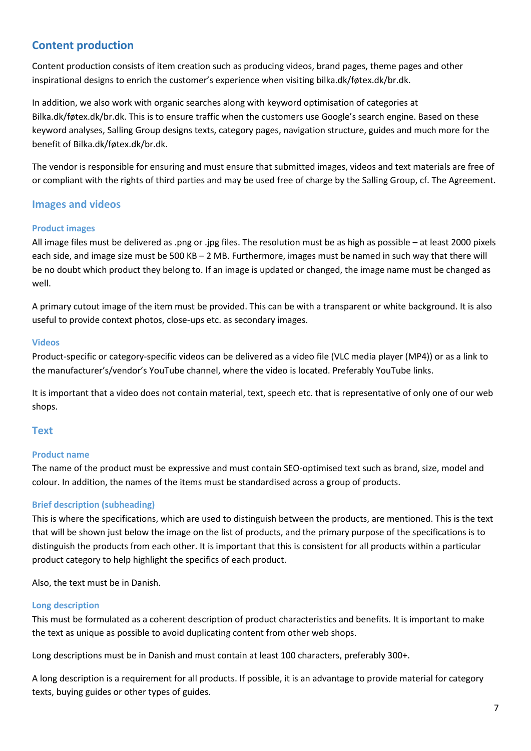# <span id="page-6-0"></span>**Content production**

Content production consists of item creation such as producing videos, brand pages, theme pages and other inspirational designs to enrich the customer's experience when visiting bilka.dk/føtex.dk/br.dk.

In addition, we also work with organic searches along with keyword optimisation of categories at Bilka.dk/føtex.dk/br.dk. This is to ensure traffic when the customers use Google's search engine. Based on these keyword analyses, Salling Group designs texts, category pages, navigation structure, guides and much more for the benefit of Bilka.dk/føtex.dk/br.dk.

The vendor is responsible for ensuring and must ensure that submitted images, videos and text materials are free of or compliant with the rights of third parties and may be used free of charge by the Salling Group, cf. The Agreement.

# <span id="page-6-1"></span>**Images and videos**

#### <span id="page-6-2"></span>**Product images**

All image files must be delivered as .png or .jpg files. The resolution must be as high as possible – at least 2000 pixels each side, and image size must be 500 KB – 2 MB. Furthermore, images must be named in such way that there will be no doubt which product they belong to. If an image is updated or changed, the image name must be changed as well.

A primary cutout image of the item must be provided. This can be with a transparent or white background. It is also useful to provide context photos, close-ups etc. as secondary images.

#### <span id="page-6-3"></span>**Videos**

Product-specific or category-specific videos can be delivered as a video file (VLC media player (MP4)) or as a link to the manufacturer's/vendor's YouTube channel, where the video is located. Preferably YouTube links.

It is important that a video does not contain material, text, speech etc. that is representative of only one of our web shops.

# <span id="page-6-4"></span>**Text**

#### <span id="page-6-5"></span>**Product name**

The name of the product must be expressive and must contain SEO-optimised text such as brand, size, model and colour. In addition, the names of the items must be standardised across a group of products.

# <span id="page-6-6"></span>**Brief description (subheading)**

This is where the specifications, which are used to distinguish between the products, are mentioned. This is the text that will be shown just below the image on the list of products, and the primary purpose of the specifications is to distinguish the products from each other. It is important that this is consistent for all products within a particular product category to help highlight the specifics of each product.

Also, the text must be in Danish.

#### <span id="page-6-7"></span>**Long description**

This must be formulated as a coherent description of product characteristics and benefits. It is important to make the text as unique as possible to avoid duplicating content from other web shops.

Long descriptions must be in Danish and must contain at least 100 characters, preferably 300+.

A long description is a requirement for all products. If possible, it is an advantage to provide material for category texts, buying guides or other types of guides.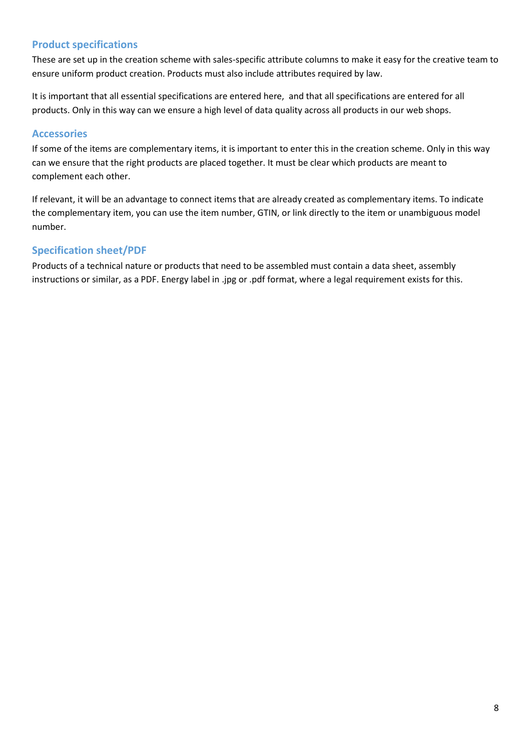# <span id="page-7-0"></span>**Product specifications**

These are set up in the creation scheme with sales-specific attribute columns to make it easy for the creative team to ensure uniform product creation. Products must also include attributes required by law.

It is important that all essential specifications are entered here, and that all specifications are entered for all products. Only in this way can we ensure a high level of data quality across all products in our web shops.

# <span id="page-7-1"></span>**Accessories**

If some of the items are complementary items, it is important to enter this in the creation scheme. Only in this way can we ensure that the right products are placed together. It must be clear which products are meant to complement each other.

If relevant, it will be an advantage to connect items that are already created as complementary items. To indicate the complementary item, you can use the item number, GTIN, or link directly to the item or unambiguous model number.

# <span id="page-7-2"></span>**Specification sheet/PDF**

Products of a technical nature or products that need to be assembled must contain a data sheet, assembly instructions or similar, as a PDF. Energy label in .jpg or .pdf format, where a legal requirement exists for this.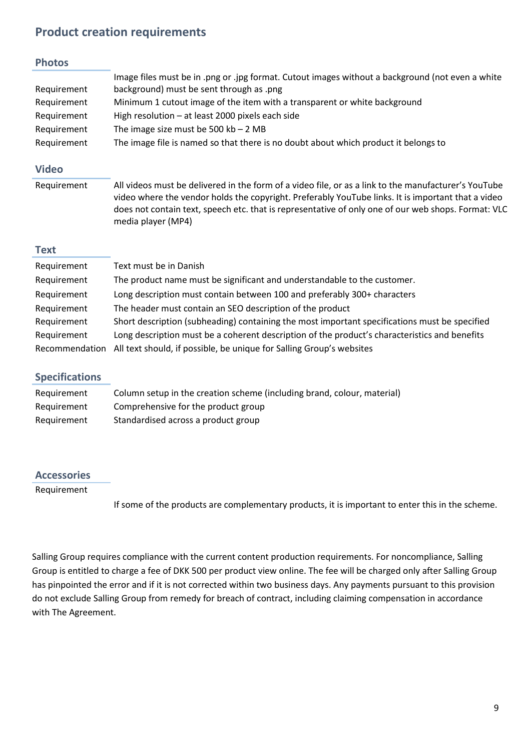# **Product creation requirements**

#### **Photos**

|             | Image files must be in .png or .jpg format. Cutout images without a background (not even a white |
|-------------|--------------------------------------------------------------------------------------------------|
| Requirement | background) must be sent through as .png                                                         |
| Requirement | Minimum 1 cutout image of the item with a transparent or white background                        |
| Requirement | High resolution $-$ at least 2000 pixels each side                                               |
| Requirement | The image size must be 500 $kb - 2 MB$                                                           |
| Requirement | The image file is named so that there is no doubt about which product it belongs to              |

# **Video**

Requirement All videos must be delivered in the form of a video file, or as a link to the manufacturer's YouTube video where the vendor holds the copyright. Preferably YouTube links. It is important that a video does not contain text, speech etc. that is representative of only one of our web shops. Format: VLC media player (MP4)

#### **Text**

| Requirement    | Text must be in Danish                                                                        |
|----------------|-----------------------------------------------------------------------------------------------|
| Requirement    | The product name must be significant and understandable to the customer.                      |
| Requirement    | Long description must contain between 100 and preferably 300+ characters                      |
| Requirement    | The header must contain an SEO description of the product                                     |
| Requirement    | Short description (subheading) containing the most important specifications must be specified |
| Requirement    | Long description must be a coherent description of the product's characteristics and benefits |
| Recommendation | All text should, if possible, be unique for Salling Group's websites                          |

# **Specifications**

| Requirement | Column setup in the creation scheme (including brand, colour, material) |
|-------------|-------------------------------------------------------------------------|
| Requirement | Comprehensive for the product group                                     |
| Requirement | Standardised across a product group                                     |

# **Accessories**

Requirement

If some of the products are complementary products, it is important to enter this in the scheme.

Salling Group requires compliance with the current content production requirements. For noncompliance, Salling Group is entitled to charge a fee of DKK 500 per product view online. The fee will be charged only after Salling Group has pinpointed the error and if it is not corrected within two business days. Any payments pursuant to this provision do not exclude Salling Group from remedy for breach of contract, including claiming compensation in accordance with The Agreement.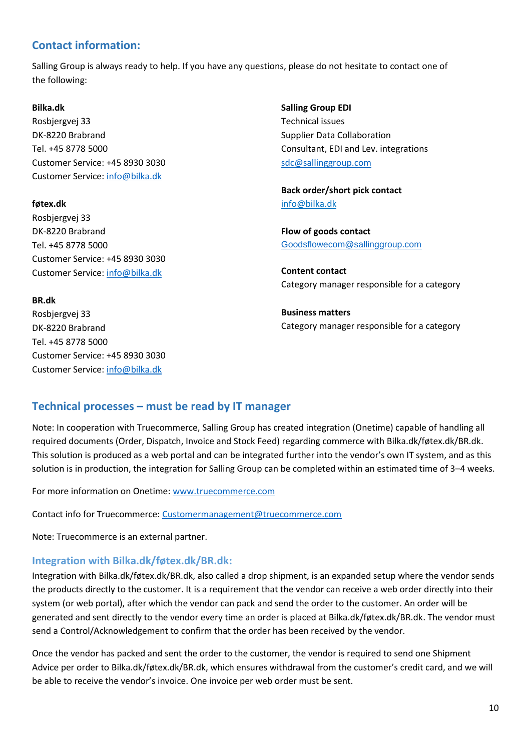# <span id="page-9-0"></span>**Contact information:**

Salling Group is always ready to help. If you have any questions, please do not hesitate to contact one of the following:

#### **Bilka.dk**

Rosbjergvej 33 DK-8220 Brabrand Tel. +45 8778 5000 Customer Service: +45 8930 3030 Customer Service[: info@bilka.dk](mailto:info@bilka.dk)

# **føtex.dk**

Rosbjergvej 33 DK-8220 Brabrand Tel. +45 8778 5000 Customer Service: +45 8930 3030 Customer Service[: info@bilka.dk](mailto:info@bilka.dk)

# **Salling Group EDI** Technical issues Supplier Data Collaboration Consultant, EDI and Lev. integrations [sdc@sallinggroup.com](mailto:sdc@sallinggroup.com)

**Back order/short pick contact** info@bilka.dk

**Flow of goods contact** [Goodsflowecom@sallinggroup.com](mailto:Goodsflowecom@sallinggroup.com)

**Content contact**  Category manager responsible for a category

**Business matters** Category manager responsible for a category

# **BR.dk**

Rosbjergvej 33 DK-8220 Brabrand Tel. +45 8778 5000 Customer Service: +45 8930 3030 Customer Service[: info@bilka.dk](mailto:info@bilka.dk)

# <span id="page-9-1"></span>**Technical processes – must be read by IT manager**

Note: In cooperation with Truecommerce, Salling Group has created integration (Onetime) capable of handling all required documents (Order, Dispatch, Invoice and Stock Feed) regarding commerce with Bilka.dk/føtex.dk/BR.dk. This solution is produced as a web portal and can be integrated further into the vendor's own IT system, and as this solution is in production, the integration for Salling Group can be completed within an estimated time of 3–4 weeks.

For more information on Onetime[: www.truecommerce.com](http://www.truecommerce.com/)

Contact info for Truecommerce: [Customermanagement@truecommerce.com](mailto:Customermanagement@truecommerce.com)

Note: Truecommerce is an external partner.

# <span id="page-9-2"></span>**Integration with Bilka.dk/føtex.dk/BR.dk:**

Integration with Bilka.dk/føtex.dk/BR.dk, also called a drop shipment, is an expanded setup where the vendor sends the products directly to the customer. It is a requirement that the vendor can receive a web order directly into their system (or web portal), after which the vendor can pack and send the order to the customer. An order will be generated and sent directly to the vendor every time an order is placed at Bilka.dk/føtex.dk/BR.dk. The vendor must send a Control/Acknowledgement to confirm that the order has been received by the vendor.

Once the vendor has packed and sent the order to the customer, the vendor is required to send one Shipment Advice per order to Bilka.dk/føtex.dk/BR.dk, which ensures withdrawal from the customer's credit card, and we will be able to receive the vendor's invoice. One invoice per web order must be sent.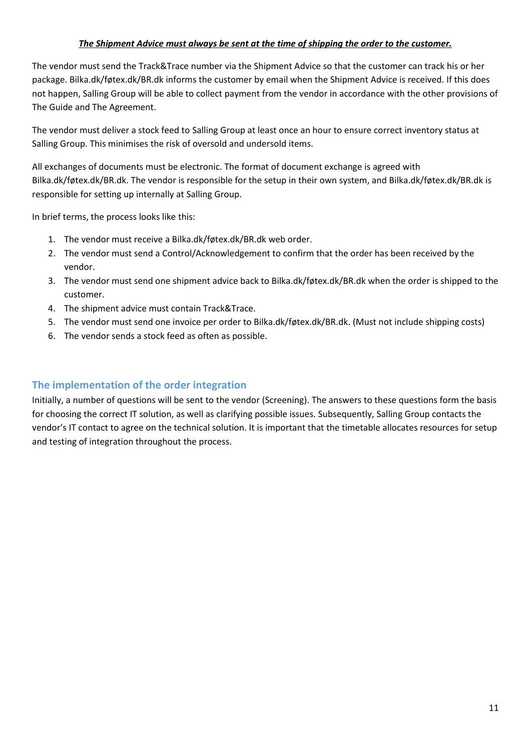# *The Shipment Advice must always be sent at the time of shipping the order to the customer.*

The vendor must send the Track&Trace number via the Shipment Advice so that the customer can track his or her package. Bilka.dk/føtex.dk/BR.dk informs the customer by email when the Shipment Advice is received. If this does not happen, Salling Group will be able to collect payment from the vendor in accordance with the other provisions of The Guide and The Agreement.

The vendor must deliver a stock feed to Salling Group at least once an hour to ensure correct inventory status at Salling Group. This minimises the risk of oversold and undersold items.

All exchanges of documents must be electronic. The format of document exchange is agreed with Bilka.dk/føtex.dk/BR.dk. The vendor is responsible for the setup in their own system, and Bilka.dk/føtex.dk/BR.dk is responsible for setting up internally at Salling Group.

In brief terms, the process looks like this:

- 1. The vendor must receive a Bilka.dk/føtex.dk/BR.dk web order.
- 2. The vendor must send a Control/Acknowledgement to confirm that the order has been received by the vendor.
- 3. The vendor must send one shipment advice back to Bilka.dk/føtex.dk/BR.dk when the order is shipped to the customer.
- 4. The shipment advice must contain Track&Trace.
- 5. The vendor must send one invoice per order to Bilka.dk/føtex.dk/BR.dk. (Must not include shipping costs)
- 6. The vendor sends a stock feed as often as possible.

# <span id="page-10-0"></span>**The implementation of the order integration**

Initially, a number of questions will be sent to the vendor (Screening). The answers to these questions form the basis for choosing the correct IT solution, as well as clarifying possible issues. Subsequently, Salling Group contacts the vendor's IT contact to agree on the technical solution. It is important that the timetable allocates resources for setup and testing of integration throughout the process.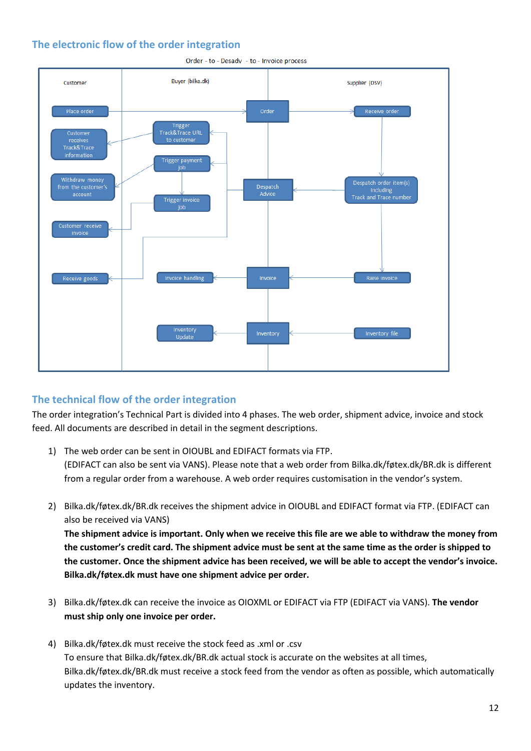# <span id="page-11-0"></span>**The electronic flow of the order integration**



Order - to - Desadv - to - Invoice process

# <span id="page-11-1"></span>**The technical flow of the order integration**

The order integration's Technical Part is divided into 4 phases. The web order, shipment advice, invoice and stock feed. All documents are described in detail in the segment descriptions.

- 1) The web order can be sent in OIOUBL and EDIFACT formats via FTP. (EDIFACT can also be sent via VANS). Please note that a web order from Bilka.dk/føtex.dk/BR.dk is different from a regular order from a warehouse. A web order requires customisation in the vendor's system.
- 2) Bilka.dk/føtex.dk/BR.dk receives the shipment advice in OIOUBL and EDIFACT format via FTP. (EDIFACT can also be received via VANS)

**The shipment advice is important. Only when we receive this file are we able to withdraw the money from the customer's credit card. The shipment advice must be sent at the same time as the order is shipped to the customer. Once the shipment advice has been received, we will be able to accept the vendor's invoice. Bilka.dk/føtex.dk must have one shipment advice per order.**

- 3) Bilka.dk/føtex.dk can receive the invoice as OIOXML or EDIFACT via FTP (EDIFACT via VANS). **The vendor must ship only one invoice per order.**
- 4) Bilka.dk/føtex.dk must receive the stock feed as .xml or .csv To ensure that Bilka.dk/føtex.dk/BR.dk actual stock is accurate on the websites at all times, Bilka.dk/føtex.dk/BR.dk must receive a stock feed from the vendor as often as possible, which automatically updates the inventory.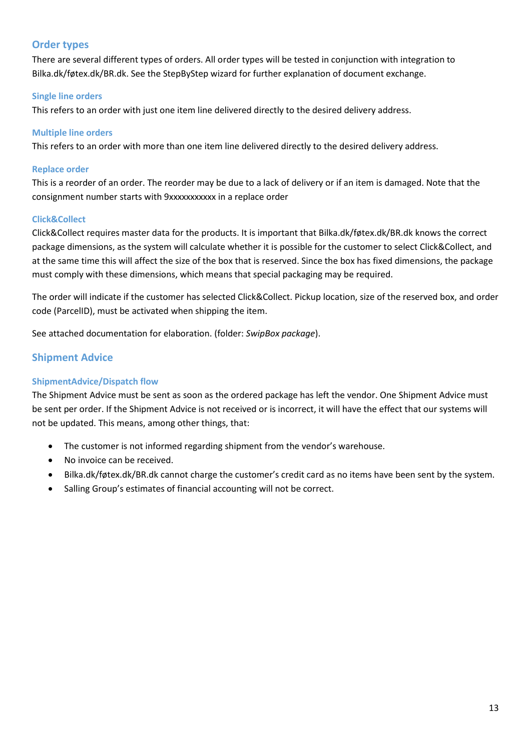# <span id="page-12-0"></span>**Order types**

There are several different types of orders. All order types will be tested in conjunction with integration to Bilka.dk/føtex.dk/BR.dk. See the StepByStep wizard for further explanation of document exchange.

#### <span id="page-12-1"></span>**Single line orders**

This refers to an order with just one item line delivered directly to the desired delivery address.

#### <span id="page-12-2"></span>**Multiple line orders**

This refers to an order with more than one item line delivered directly to the desired delivery address.

#### <span id="page-12-3"></span>**Replace order**

This is a reorder of an order. The reorder may be due to a lack of delivery or if an item is damaged. Note that the consignment number starts with 9xxxxxxxxxx in a replace order

#### <span id="page-12-4"></span>**Click&Collect**

Click&Collect requires master data for the products. It is important that Bilka.dk/føtex.dk/BR.dk knows the correct package dimensions, as the system will calculate whether it is possible for the customer to select Click&Collect, and at the same time this will affect the size of the box that is reserved. Since the box has fixed dimensions, the package must comply with these dimensions, which means that special packaging may be required.

The order will indicate if the customer has selected Click&Collect. Pickup location, size of the reserved box, and order code (ParcelID), must be activated when shipping the item.

See attached documentation for elaboration. (folder: *SwipBox package*).

# <span id="page-12-5"></span>**Shipment Advice**

# <span id="page-12-6"></span>**ShipmentAdvice/Dispatch flow**

The Shipment Advice must be sent as soon as the ordered package has left the vendor. One Shipment Advice must be sent per order. If the Shipment Advice is not received or is incorrect, it will have the effect that our systems will not be updated. This means, among other things, that:

- The customer is not informed regarding shipment from the vendor's warehouse.
- No invoice can be received.
- Bilka.dk/føtex.dk/BR.dk cannot charge the customer's credit card as no items have been sent by the system.
- Salling Group's estimates of financial accounting will not be correct.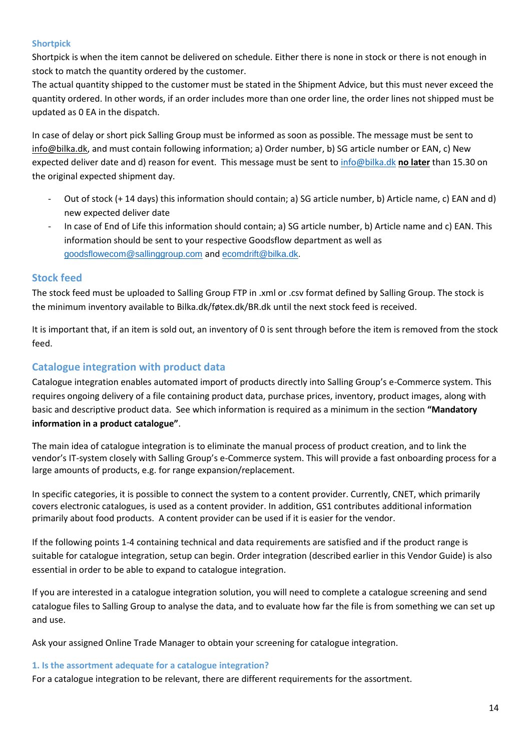# <span id="page-13-0"></span>**Shortpick**

Shortpick is when the item cannot be delivered on schedule. Either there is none in stock or there is not enough in stock to match the quantity ordered by the customer.

The actual quantity shipped to the customer must be stated in the Shipment Advice, but this must never exceed the quantity ordered. In other words, if an order includes more than one order line, the order lines not shipped must be updated as 0 EA in the dispatch.

In case of delay or short pick Salling Group must be informed as soon as possible. The message must be sent to [info@bilka.dk,](mailto:info@bilka.dk) and must contain following information; a) Order number, b) SG article number or EAN, c) New expected deliver date and d) reason for event. This message must be sent to [info@bilka.dk](mailto:info@bilka.dk) **no later** than 15.30 on the original expected shipment day.

- Out of stock (+ 14 days) this information should contain; a) SG article number, b) Article name, c) EAN and d) new expected deliver date
- In case of End of Life this information should contain; a) SG article number, b) Article name and c) EAN. This information should be sent to your respective Goodsflow department as well as [goodsflowecom@sallinggroup.com](mailto:goodsflowecom@sallinggroup.com) and [ecomdrift@bilka.dk.](mailto:ecomdrift@bilka.dk)

# <span id="page-13-1"></span>**Stock feed**

The stock feed must be uploaded to Salling Group FTP in .xml or .csv format defined by Salling Group. The stock is the minimum inventory available to Bilka.dk/føtex.dk/BR.dk until the next stock feed is received.

It is important that, if an item is sold out, an inventory of 0 is sent through before the item is removed from the stock feed.

# <span id="page-13-2"></span>**Catalogue integration with product data**

Catalogue integration enables automated import of products directly into Salling Group's e-Commerce system. This requires ongoing delivery of a file containing product data, purchase prices, inventory, product images, along with basic and descriptive product data. See which information is required as a minimum in the section **"Mandatory information in a product catalogue"**.

The main idea of catalogue integration is to eliminate the manual process of product creation, and to link the vendor's IT-system closely with Salling Group's e-Commerce system. This will provide a fast onboarding process for a large amounts of products, e.g. for range expansion/replacement.

In specific categories, it is possible to connect the system to a content provider. Currently, CNET, which primarily covers electronic catalogues, is used as a content provider. In addition, GS1 contributes additional information primarily about food products. A content provider can be used if it is easier for the vendor.

If the following points 1-4 containing technical and data requirements are satisfied and if the product range is suitable for catalogue integration, setup can begin. Order integration (described earlier in this Vendor Guide) is also essential in order to be able to expand to catalogue integration.

If you are interested in a catalogue integration solution, you will need to complete a catalogue screening and send catalogue files to Salling Group to analyse the data, and to evaluate how far the file is from something we can set up and use.

Ask your assigned Online Trade Manager to obtain your screening for catalogue integration.

#### <span id="page-13-3"></span>**1. Is the assortment adequate for a catalogue integration?**

For a catalogue integration to be relevant, there are different requirements for the assortment.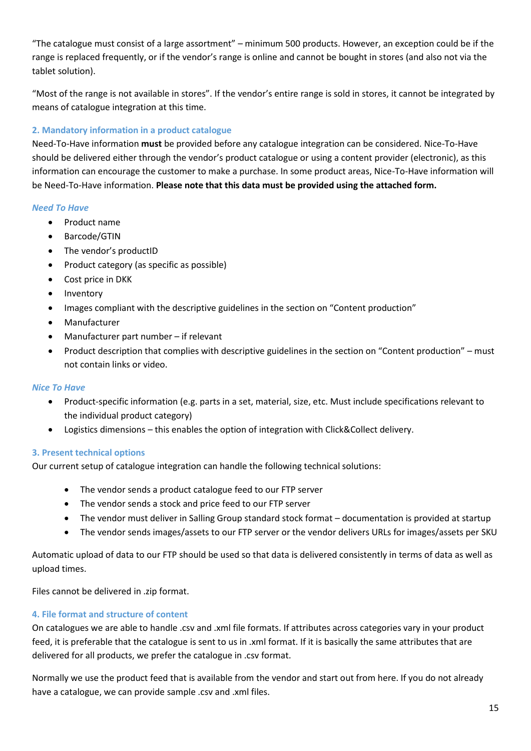"The catalogue must consist of a large assortment" – minimum 500 products. However, an exception could be if the range is replaced frequently, or if the vendor's range is online and cannot be bought in stores (and also not via the tablet solution).

"Most of the range is not available in stores". If the vendor's entire range is sold in stores, it cannot be integrated by means of catalogue integration at this time.

# <span id="page-14-0"></span>**2. Mandatory information in a product catalogue**

Need-To-Have information **must** be provided before any catalogue integration can be considered. Nice-To-Have should be delivered either through the vendor's product catalogue or using a content provider (electronic), as this information can encourage the customer to make a purchase. In some product areas, Nice-To-Have information will be Need-To-Have information. **Please note that this data must be provided using the attached form.**

# *Need To Have*

- Product name
- Barcode/GTIN
- The vendor's productID
- Product category (as specific as possible)
- Cost price in DKK
- Inventory
- Images compliant with the descriptive guidelines in the section on "Content production"
- Manufacturer
- Manufacturer part number if relevant
- Product description that complies with descriptive guidelines in the section on "Content production" must not contain links or video.

# *Nice To Have*

- Product-specific information (e.g. parts in a set, material, size, etc. Must include specifications relevant to the individual product category)
- Logistics dimensions this enables the option of integration with Click&Collect delivery.

# <span id="page-14-1"></span>**3. Present technical options**

Our current setup of catalogue integration can handle the following technical solutions:

- The vendor sends a product catalogue feed to our FTP server
- The vendor sends a stock and price feed to our FTP server
- The vendor must deliver in Salling Group standard stock format documentation is provided at startup
- The vendor sends images/assets to our FTP server or the vendor delivers URLs for images/assets per SKU

Automatic upload of data to our FTP should be used so that data is delivered consistently in terms of data as well as upload times.

Files cannot be delivered in .zip format.

# <span id="page-14-2"></span>**4. File format and structure of content**

On catalogues we are able to handle .csv and .xml file formats. If attributes across categories vary in your product feed, it is preferable that the catalogue is sent to us in .xml format. If it is basically the same attributes that are delivered for all products, we prefer the catalogue in .csv format.

Normally we use the product feed that is available from the vendor and start out from here. If you do not already have a catalogue, we can provide sample .csv and .xml files.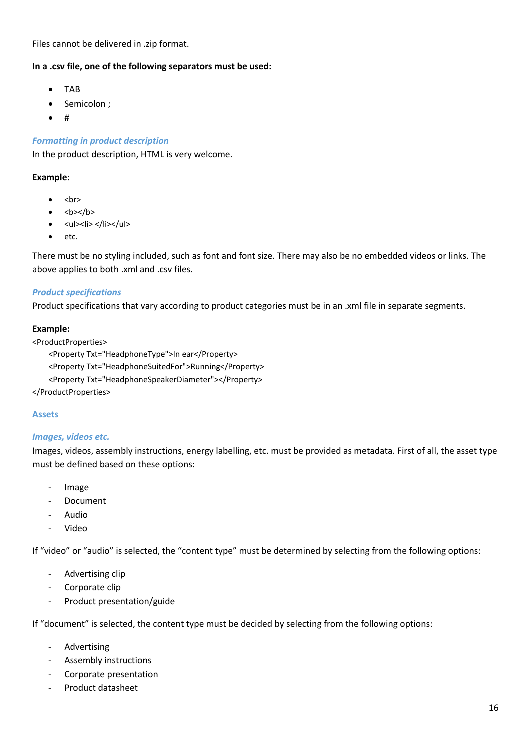Files cannot be delivered in .zip format.

#### **In a .csv file, one of the following separators must be used:**

- TAB
- Semicolon ;
- #

#### *Formatting in product description*

In the product description, HTML is very welcome.

#### **Example:**

- <br>
- <b></b>
- <ul><li> </li></ul>
- etc.

There must be no styling included, such as font and font size. There may also be no embedded videos or links. The above applies to both .xml and .csv files.

#### *Product specifications*

Product specifications that vary according to product categories must be in an .xml file in separate segments.

#### **Example:**

```
<ProductProperties>
     <Property Txt="HeadphoneType">In ear</Property>
     <Property Txt="HeadphoneSuitedFor">Running</Property>
     <Property Txt="HeadphoneSpeakerDiameter"></Property>
</ProductProperties>
```
# <span id="page-15-0"></span>**Assets**

#### *Images, videos etc.*

Images, videos, assembly instructions, energy labelling, etc. must be provided as metadata. First of all, the asset type must be defined based on these options:

- Image
- Document
- Audio
- Video

If "video" or "audio" is selected, the "content type" must be determined by selecting from the following options:

- Advertising clip
- Corporate clip
- Product presentation/guide

If "document" is selected, the content type must be decided by selecting from the following options:

- Advertising
- Assembly instructions
- Corporate presentation
- Product datasheet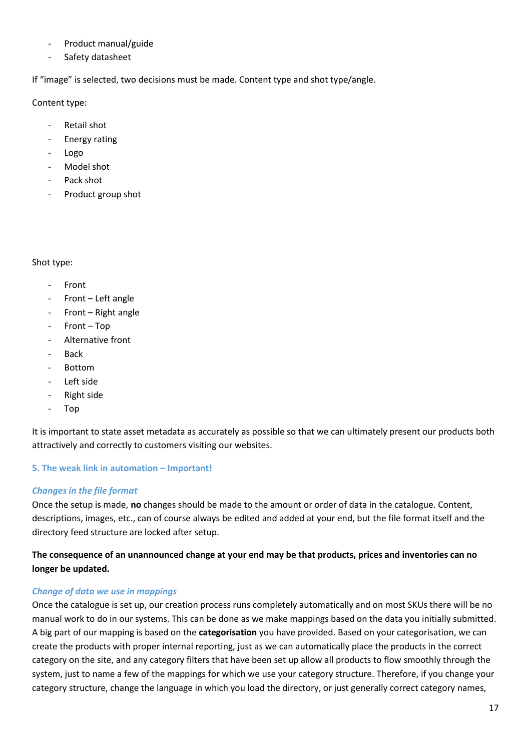- Product manual/guide
- Safety datasheet

If "image" is selected, two decisions must be made. Content type and shot type/angle.

Content type:

- Retail shot
- Energy rating
- Logo
- Model shot
- Pack shot
- Product group shot

#### Shot type:

- **Front**
- Front Left angle
- Front Right angle
- Front Top
- Alternative front
- Back
- Bottom
- Left side
- Right side
- Top

It is important to state asset metadata as accurately as possible so that we can ultimately present our products both attractively and correctly to customers visiting our websites.

# <span id="page-16-0"></span>**5. The weak link in automation – Important!**

# *Changes in the file format*

Once the setup is made, **no** changes should be made to the amount or order of data in the catalogue. Content, descriptions, images, etc., can of course always be edited and added at your end, but the file format itself and the directory feed structure are locked after setup.

# **The consequence of an unannounced change at your end may be that products, prices and inventories can no longer be updated.**

# *Change of data we use in mappings*

Once the catalogue is set up, our creation process runs completely automatically and on most SKUs there will be no manual work to do in our systems. This can be done as we make mappings based on the data you initially submitted. A big part of our mapping is based on the **categorisation** you have provided. Based on your categorisation, we can create the products with proper internal reporting, just as we can automatically place the products in the correct category on the site, and any category filters that have been set up allow all products to flow smoothly through the system, just to name a few of the mappings for which we use your category structure. Therefore, if you change your category structure, change the language in which you load the directory, or just generally correct category names,